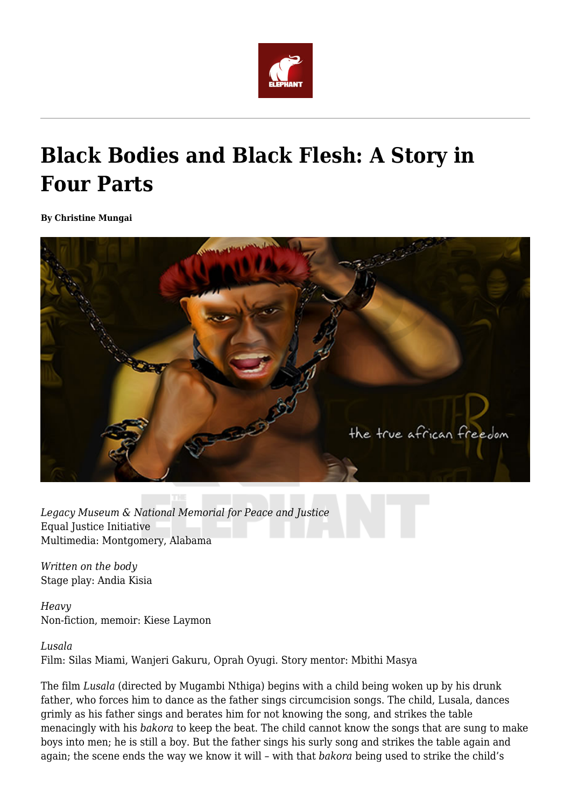

## **Black Bodies and Black Flesh: A Story in Four Parts**

**By Christine Mungai**



*Legacy Museum & National Memorial for Peace and Justice* Equal Justice Initiative Multimedia: Montgomery, Alabama

*Written on the body* Stage play: Andia Kisia

*Heavy* Non-fiction, memoir: Kiese Laymon

*Lusala*

Film: Silas Miami, Wanjeri Gakuru, Oprah Oyugi. Story mentor: Mbithi Masya

The film *Lusala* (directed by Mugambi Nthiga) begins with a child being woken up by his drunk father, who forces him to dance as the father sings circumcision songs. The child, Lusala, dances grimly as his father sings and berates him for not knowing the song, and strikes the table menacingly with his *bakora* to keep the beat. The child cannot know the songs that are sung to make boys into men; he is still a boy. But the father sings his surly song and strikes the table again and again; the scene ends the way we know it will – with that *bakora* being used to strike the child's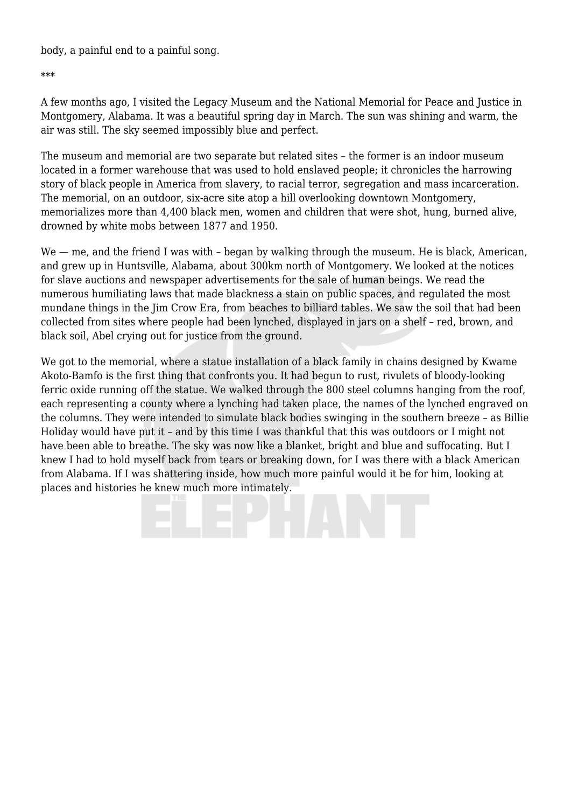body, a painful end to a painful song.

\*\*\*

A few months ago, I visited the Legacy Museum and the National Memorial for Peace and Justice in Montgomery, Alabama. It was a beautiful spring day in March. The sun was shining and warm, the air was still. The sky seemed impossibly blue and perfect.

The museum and memorial are two separate but related sites – the former is an indoor museum located in a former warehouse that was used to hold enslaved people; it chronicles the harrowing story of black people in America from slavery, to racial terror, segregation and mass incarceration. The memorial, on an outdoor, six-acre site atop a hill overlooking downtown Montgomery, memorializes more than 4,400 black men, women and children that were shot, hung, burned alive, drowned by white mobs between 1877 and 1950.

We — me, and the friend I was with - began by walking through the museum. He is black, American, and grew up in Huntsville, Alabama, about 300km north of Montgomery. We looked at the notices for slave auctions and newspaper advertisements for the sale of human beings. We read the numerous humiliating laws that made blackness a stain on public spaces, and regulated the most mundane things in the Jim Crow Era, from beaches to billiard tables. We saw the soil that had been collected from sites where people had been lynched, displayed in jars on a shelf – red, brown, and black soil, Abel crying out for justice from the ground.

We got to the memorial, where a statue installation of a black family in chains designed by Kwame Akoto-Bamfo is the first thing that confronts you. It had begun to rust, rivulets of bloody-looking ferric oxide running off the statue. We walked through the 800 steel columns hanging from the roof, each representing a county where a lynching had taken place, the names of the lynched engraved on the columns. They were intended to simulate black bodies swinging in the southern breeze – as Billie Holiday would have put it – and by this time I was thankful that this was outdoors or I might not have been able to breathe. The sky was now like a blanket, bright and blue and suffocating. But I knew I had to hold myself back from tears or breaking down, for I was there with a black American from Alabama. If I was shattering inside, how much more painful would it be for him, looking at places and histories he knew much more intimately.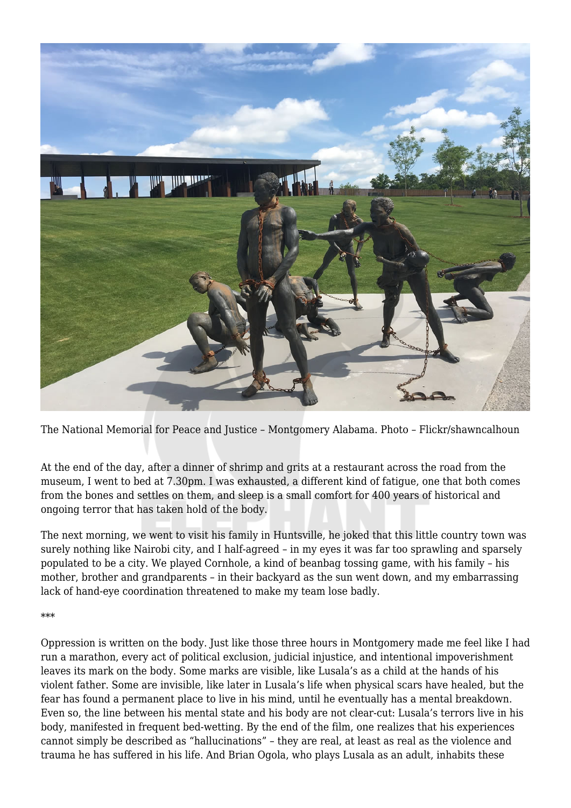

The National Memorial for Peace and Justice – Montgomery Alabama. Photo – Flickr/shawncalhoun

At the end of the day, after a dinner of shrimp and grits at a restaurant across the road from the museum, I went to bed at 7.30pm. I was exhausted, a different kind of fatigue, one that both comes from the bones and settles on them, and sleep is a small comfort for 400 years of historical and ongoing terror that has taken hold of the body.

The next morning, we went to visit his family in Huntsville, he joked that this little country town was surely nothing like Nairobi city, and I half-agreed – in my eyes it was far too sprawling and sparsely populated to be a city. We played Cornhole, a kind of beanbag tossing game, with his family – his mother, brother and grandparents – in their backyard as the sun went down, and my embarrassing lack of hand-eye coordination threatened to make my team lose badly.

## \*\*\*

Oppression is written on the body. Just like those three hours in Montgomery made me feel like I had run a marathon, every act of political exclusion, judicial injustice, and intentional impoverishment leaves its mark on the body. Some marks are visible, like Lusala's as a child at the hands of his violent father. Some are invisible, like later in Lusala's life when physical scars have healed, but the fear has found a permanent place to live in his mind, until he eventually has a mental breakdown. Even so, the line between his mental state and his body are not clear-cut: Lusala's terrors live in his body, manifested in frequent bed-wetting. By the end of the film, one realizes that his experiences cannot simply be described as "hallucinations" – they are real, at least as real as the violence and trauma he has suffered in his life. And Brian Ogola, who plays Lusala as an adult, inhabits these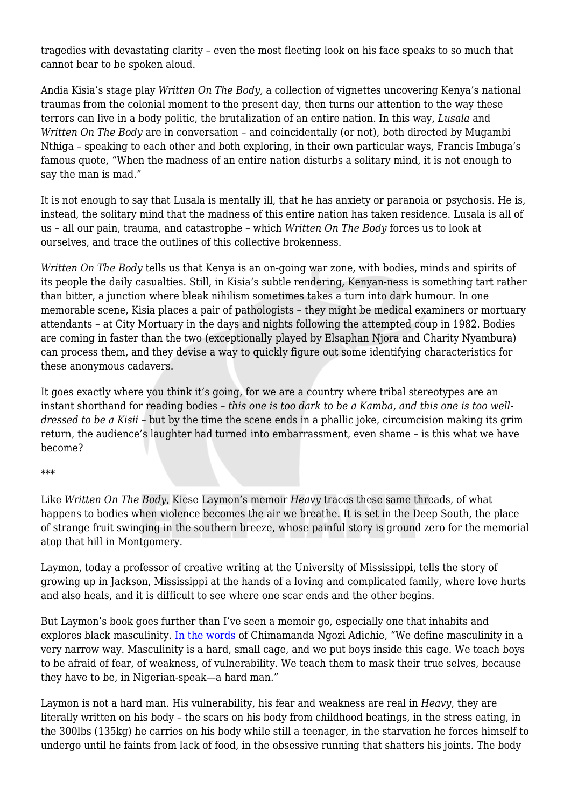tragedies with devastating clarity – even the most fleeting look on his face speaks to so much that cannot bear to be spoken aloud.

Andia Kisia's stage play *Written On The Body,* a collection of vignettes uncovering Kenya's national traumas from the colonial moment to the present day, then turns our attention to the way these terrors can live in a body politic, the brutalization of an entire nation. In this way, *Lusala* and *Written On The Body* are in conversation – and coincidentally (or not), both directed by Mugambi Nthiga – speaking to each other and both exploring, in their own particular ways, Francis Imbuga's famous quote, "When the madness of an entire nation disturbs a solitary mind, it is not enough to say the man is mad."

It is not enough to say that Lusala is mentally ill, that he has anxiety or paranoia or psychosis. He is, instead, the solitary mind that the madness of this entire nation has taken residence. Lusala is all of us – all our pain, trauma, and catastrophe – which *Written On The Body* forces us to look at ourselves, and trace the outlines of this collective brokenness.

*Written On The Body* tells us that Kenya is an on-going war zone, with bodies, minds and spirits of its people the daily casualties. Still, in Kisia's subtle rendering, Kenyan-ness is something tart rather than bitter, a junction where bleak nihilism sometimes takes a turn into dark humour. In one memorable scene, Kisia places a pair of pathologists – they might be medical examiners or mortuary attendants – at City Mortuary in the days and nights following the attempted coup in 1982. Bodies are coming in faster than the two (exceptionally played by Elsaphan Njora and Charity Nyambura) can process them, and they devise a way to quickly figure out some identifying characteristics for these anonymous cadavers.

It goes exactly where you think it's going, for we are a country where tribal stereotypes are an instant shorthand for reading bodies – *this one is too dark to be a Kamba, and this one is too welldressed to be a Kisii* – but by the time the scene ends in a phallic joke, circumcision making its grim return, the audience's laughter had turned into embarrassment, even shame – is this what we have become?

## \*\*\*

Like *Written On The Body*, Kiese Laymon's memoir *Heavy* traces these same threads, of what happens to bodies when violence becomes the air we breathe. It is set in the Deep South, the place of strange fruit swinging in the southern breeze, whose painful story is ground zero for the memorial atop that hill in Montgomery.

Laymon, today a professor of creative writing at the University of Mississippi, tells the story of growing up in Jackson, Mississippi at the hands of a loving and complicated family, where love hurts and also heals, and it is difficult to see where one scar ends and the other begins.

But Laymon's book goes further than I've seen a memoir go, especially one that inhabits and explores black masculinity. [In the words](https://www.feminist.com/resources/artspeech/genwom/adichie.html) of Chimamanda Ngozi Adichie, "We define masculinity in a very narrow way. Masculinity is a hard, small cage, and we put boys inside this cage. We teach boys to be afraid of fear, of weakness, of vulnerability. We teach them to mask their true selves, because they have to be, in Nigerian-speak—a hard man."

Laymon is not a hard man. His vulnerability, his fear and weakness are real in *Heavy*, they are literally written on his body – the scars on his body from childhood beatings, in the stress eating, in the 300lbs (135kg) he carries on his body while still a teenager, in the starvation he forces himself to undergo until he faints from lack of food, in the obsessive running that shatters his joints. The body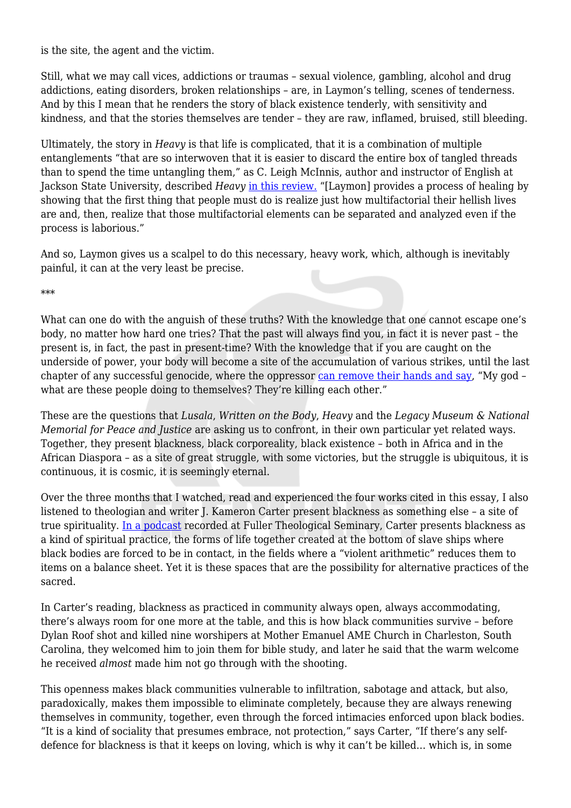is the site, the agent and the victim.

Still, what we may call vices, addictions or traumas – sexual violence, gambling, alcohol and drug addictions, eating disorders, broken relationships – are, in Laymon's telling, scenes of tenderness. And by this I mean that he renders the story of black existence tenderly, with sensitivity and kindness, and that the stories themselves are tender – they are raw, inflamed, bruised, still bleeding.

Ultimately, the story in *Heavy* is that life is complicated, that it is a combination of multiple entanglements "that are so interwoven that it is easier to discard the entire box of tangled threads than to spend the time untangling them," as C. Leigh McInnis, author and instructor of English at Jackson State University, described *Heavy* [in this review.](https://www.newblackmaninexile.net/2019/06/untangling-thread-box-discussion-of.html?m=1&fbclid=IwAR07jNl03YQ1SRFnnGEG8GlBQcFDxlVPs2mbw6WdGWXQryFekZ79Zln5lCA) "[Laymon] provides a process of healing by showing that the first thing that people must do is realize just how multifactorial their hellish lives are and, then, realize that those multifactorial elements can be separated and analyzed even if the process is laborious."

And so, Laymon gives us a scalpel to do this necessary, heavy work, which, although is inevitably painful, it can at the very least be precise.

\*\*\*

What can one do with the anguish of these truths? With the knowledge that one cannot escape one's body, no matter how hard one tries? That the past will always find you, in fact it is never past – the present is, in fact, the past in present-time? With the knowledge that if you are caught on the underside of power, your body will become a site of the accumulation of various strikes, until the last chapter of any successful genocide, where the oppressor [can remove their hands and say,](https://www.ted.com/talks/aaron_huey/transcript?fbclid=IwAR1OOSttRrS56treNa_UvA3PDEMDaj4IQKJ3KgMjMW93LBq2JQbv61no0N0) "My god what are these people doing to themselves? They're killing each other."

These are the questions that *Lusala*, *Written on the Body*, *Heavy* and the *Legacy Museum & National Memorial for Peace and Justice* are asking us to confront, in their own particular yet related ways. Together, they present blackness, black corporeality, black existence – both in Africa and in the African Diaspora – as a site of great struggle, with some victories, but the struggle is ubiquitous, it is continuous, it is cosmic, it is seemingly eternal.

Over the three months that I watched, read and experienced the four works cited in this essay, I also listened to theologian and writer J. Kameron Carter present blackness as something else – a site of true spirituality. [In a podcast](https://fullerstudio.fuller.edu/j-kameron-carter-on-black-poetics/) recorded at Fuller Theological Seminary, Carter presents blackness as a kind of spiritual practice, the forms of life together created at the bottom of slave ships where black bodies are forced to be in contact, in the fields where a "violent arithmetic" reduces them to items on a balance sheet. Yet it is these spaces that are the possibility for alternative practices of the sacred.

In Carter's reading, blackness as practiced in community always open, always accommodating, there's always room for one more at the table, and this is how black communities survive – before Dylan Roof shot and killed nine worshipers at Mother Emanuel AME Church in Charleston, South Carolina, they welcomed him to join them for bible study, and later he said that the warm welcome he received *almost* made him not go through with the shooting.

This openness makes black communities vulnerable to infiltration, sabotage and attack, but also, paradoxically, makes them impossible to eliminate completely, because they are always renewing themselves in community, together, even through the forced intimacies enforced upon black bodies. "It is a kind of sociality that presumes embrace, not protection," says Carter, "If there's any selfdefence for blackness is that it keeps on loving, which is why it can't be killed… which is, in some